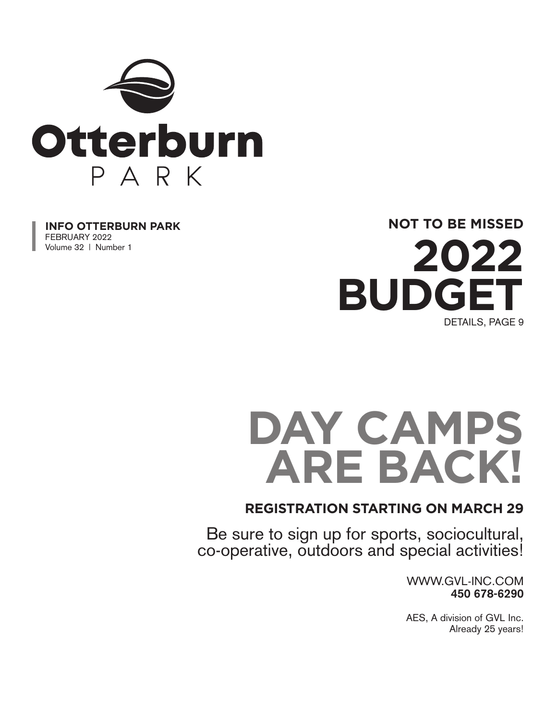

**INFO OTTERBURN PARK** FEBRUARY 2022 Volume 32 | Number 1

**NOT TO BE MISSED**



# DAY CAMPS **ARE BACK!**

#### **REGISTRATION STARTING ON MARCH 29**

Be sure to sign up for sports, sociocultural, co-operative, outdoors and special activities!

> WWW.GVL-INC.COM **450 678-6290**

> AES, A division of GVL Inc. Already 25 years!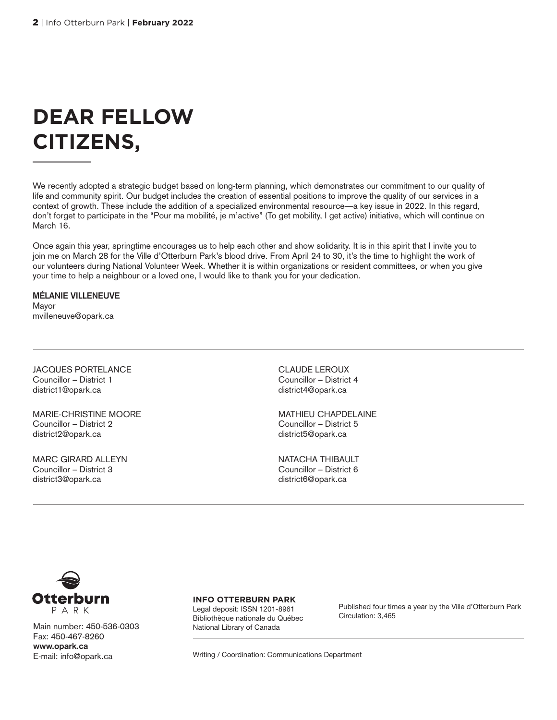# **DEAR FELLOW CITIZENS,**

We recently adopted a strategic budget based on long-term planning, which demonstrates our commitment to our quality of life and community spirit. Our budget includes the creation of essential positions to improve the quality of our services in a context of growth. These include the addition of a specialized environmental resource—a key issue in 2022. In this regard, don't forget to participate in the "Pour ma mobilité, je m'active" (To get mobility, I get active) initiative, which will continue on March 16.

Once again this year, springtime encourages us to help each other and show solidarity. It is in this spirit that I invite you to join me on March 28 for the Ville d'Otterburn Park's blood drive. From April 24 to 30, it's the time to highlight the work of our volunteers during National Volunteer Week. Whether it is within organizations or resident committees, or when you give your time to help a neighbour or a loved one, I would like to thank you for your dedication.

**MÉLANIE VILLENEUVE** Mayor mvilleneuve@opark.ca

JACQUES PORTELANCE Councillor – District 1 district1@opark.ca

MARIE-CHRISTINE MOORE Councillor – District 2 district2@opark.ca

MARC GIRARD ALLEYN Councillor – District 3 district3@opark.ca

CLAUDE LEROUX Councillor – District 4 district4@opark.ca

MATHIEU CHAPDELAINE Councillor – District 5 district5@opark.ca

NATACHA THIBAULT Councillor – District 6 district6@opark.ca



Main number: 450-536-0303 Fax: 450-467-8260 **www.opark.ca** E-mail: info@opark.ca

**INFO OTTERBURN PARK**

Legal deposit: ISSN 1201-8961 Bibliothèque nationale du Québec National Library of Canada

Published four times a year by the Ville d'Otterburn Park Circulation: 3,465

Writing / Coordination: Communications Department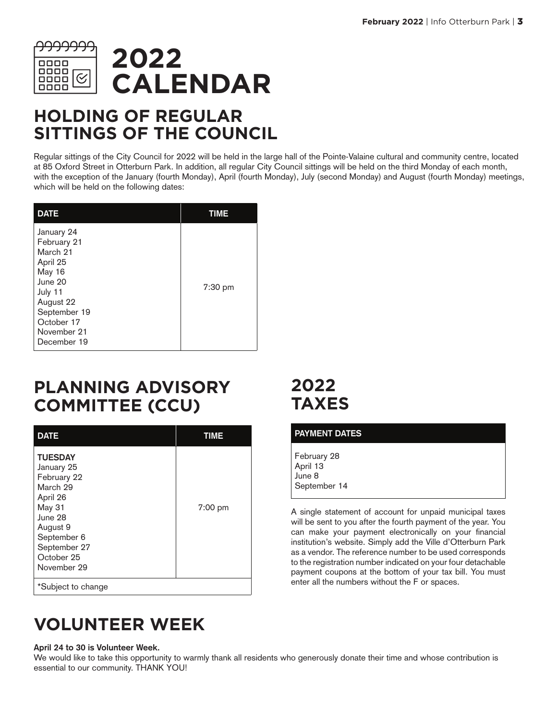

### **HOLDING OF REGULAR SITTINGS OF THE COUNCIL**

Regular sittings of the City Council for 2022 will be held in the large hall of the Pointe-Valaine cultural and community centre, located at 85 Oxford Street in Otterburn Park. In addition, all regular City Council sittings will be held on the third Monday of each month, with the exception of the January (fourth Monday), April (fourth Monday), July (second Monday) and August (fourth Monday) meetings, which will be held on the following dates:

| <b>DATE</b>                                                                                                                                                | TIME    |
|------------------------------------------------------------------------------------------------------------------------------------------------------------|---------|
| January 24<br>February 21<br>March 21<br>April 25<br>May 16<br>June 20<br>July 11<br>August 22<br>September 19<br>October 17<br>November 21<br>December 19 | 7:30 pm |

### **PLANNING ADVISORY COMMITTEE (CCU)**

| <b>DATE</b>                                                                                                                                                      | <b>TIME</b> |
|------------------------------------------------------------------------------------------------------------------------------------------------------------------|-------------|
| <b>TUESDAY</b><br>January 25<br>February 22<br>March 29<br>April 26<br>May 31<br>June 28<br>August 9<br>September 6<br>September 27<br>October 25<br>November 29 | 7:00 pm     |
| *Subject to change                                                                                                                                               |             |

### **VOLUNTEER WEEK**

#### **April 24 to 30 is Volunteer Week.**

We would like to take this opportunity to warmly thank all residents who generously donate their time and whose contribution is essential to our community. THANK YOU!

### **2022 TAXES**

| <b>PAYMENT DATES</b>                              |  |
|---------------------------------------------------|--|
| February 28<br>April 13<br>June 8<br>September 14 |  |

A single statement of account for unpaid municipal taxes will be sent to you after the fourth payment of the year. You can make your payment electronically on your financial institution's website. Simply add the Ville d'Otterburn Park as a vendor. The reference number to be used corresponds to the registration number indicated on your four detachable payment coupons at the bottom of your tax bill. You must enter all the numbers without the F or spaces.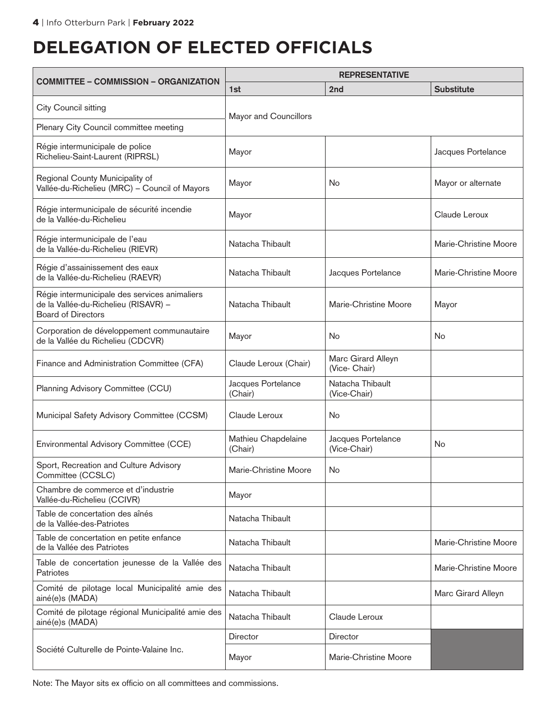### **DELEGATION OF ELECTED OFFICIALS**

| <b>COMMITTEE - COMMISSION - ORGANIZATION</b>                                                                       | <b>REPRESENTATIVE</b>          |                                     |                       |  |
|--------------------------------------------------------------------------------------------------------------------|--------------------------------|-------------------------------------|-----------------------|--|
|                                                                                                                    | 1st                            | 2nd                                 | <b>Substitute</b>     |  |
| City Council sitting                                                                                               | Mayor and Councillors          |                                     |                       |  |
| Plenary City Council committee meeting                                                                             |                                |                                     |                       |  |
| Régie intermunicipale de police<br>Richelieu-Saint-Laurent (RIPRSL)                                                | Mayor                          |                                     | Jacques Portelance    |  |
| Regional County Municipality of<br>Vallée-du-Richelieu (MRC) - Council of Mayors                                   | Mayor                          | No                                  | Mayor or alternate    |  |
| Régie intermunicipale de sécurité incendie<br>de la Vallée-du-Richelieu                                            | Mayor                          |                                     | Claude Leroux         |  |
| Régie intermunicipale de l'eau<br>de la Vallée-du-Richelieu (RIEVR)                                                | Natacha Thibault               |                                     | Marie-Christine Moore |  |
| Régie d'assainissement des eaux<br>de la Vallée-du-Richelieu (RAEVR)                                               | Natacha Thibault               | Jacques Portelance                  | Marie-Christine Moore |  |
| Régie intermunicipale des services animaliers<br>de la Vallée-du-Richelieu (RISAVR) -<br><b>Board of Directors</b> | Natacha Thibault               | Marie-Christine Moore               | Mayor                 |  |
| Corporation de développement communautaire<br>de la Vallée du Richelieu (CDCVR)                                    | Mayor                          | <b>No</b>                           | No                    |  |
| Finance and Administration Committee (CFA)                                                                         | Claude Leroux (Chair)          | Marc Girard Alleyn<br>(Vice- Chair) |                       |  |
| Planning Advisory Committee (CCU)                                                                                  | Jacques Portelance<br>(Chair)  | Natacha Thibault<br>(Vice-Chair)    |                       |  |
| Municipal Safety Advisory Committee (CCSM)                                                                         | Claude Leroux                  | No                                  |                       |  |
| Environmental Advisory Committee (CCE)                                                                             | Mathieu Chapdelaine<br>(Chair) | Jacques Portelance<br>(Vice-Chair)  | No                    |  |
| Sport, Recreation and Culture Advisory<br>Committee (CCSLC)                                                        | Marie-Christine Moore          | No                                  |                       |  |
| Chambre de commerce et d'industrie<br>Vallée-du-Richelieu (CCIVR)                                                  | Mayor                          |                                     |                       |  |
| Table de concertation des aînés<br>de la Vallée-des-Patriotes                                                      | Natacha Thibault               |                                     |                       |  |
| Table de concertation en petite enfance<br>de la Vallée des Patriotes                                              | Natacha Thibault               |                                     | Marie-Christine Moore |  |
| Table de concertation jeunesse de la Vallée des<br>Patriotes                                                       | Natacha Thibault               |                                     | Marie-Christine Moore |  |
| Comité de pilotage local Municipalité amie des<br>ainé(e)s (MADA)                                                  | Natacha Thibault               |                                     | Marc Girard Alleyn    |  |
| Comité de pilotage régional Municipalité amie des<br>ainé(e)s (MADA)                                               | Natacha Thibault               | Claude Leroux                       |                       |  |
|                                                                                                                    | Director                       | <b>Director</b>                     |                       |  |
| Société Culturelle de Pointe-Valaine Inc.                                                                          | Mayor                          | Marie-Christine Moore               |                       |  |

Note: The Mayor sits ex officio on all committees and commissions.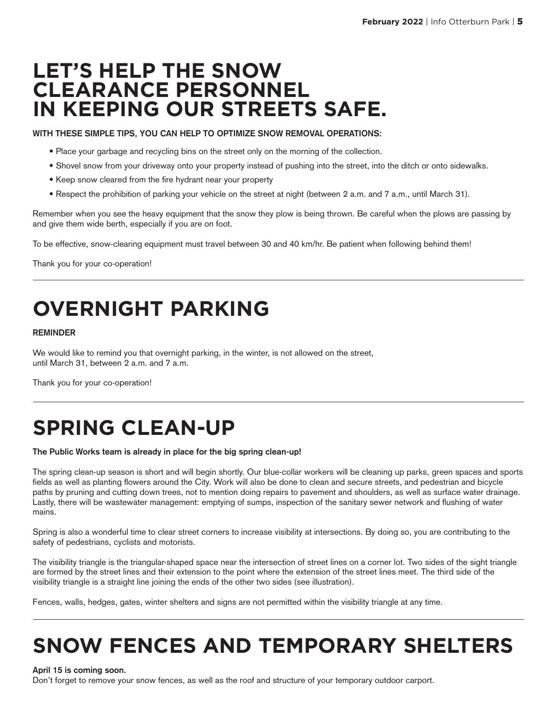### **LET'S HELP THE SNOW CLEARANCE PERSONNEL IN KEEPING OUR STREETS SAFE.**

**WITH THESE SIMPLE TIPS, YOU CAN HELP TO OPTIMIZE SNOW REMOVAL OPERATIONS:** 

- Place your garbage and recycling bins on the street only on the morning of the collection.
- Shovel snow from your driveway onto your property instead of pushing into the street, into the ditch or onto sidewalks.
- Keep snow cleared from the fire hydrant near your property
- Respect the prohibition of parking your vehicle on the street at night (between 2 a.m. and 7 a.m., until March 31).

Remember when you see the heavy equipment that the snow they plow is being thrown. Be careful when the plows are passing by and give them wide berth, especially if you are on foot.

To be effective, snow-clearing equipment must travel between 30 and 40 km/hr. Be patient when following behind them!

Thank you for your co-operation!

# **OVERNIGHT PARKING**

#### **REMINDER**

We would like to remind you that overnight parking, in the winter, is not allowed on the street, until March 31, between 2 a.m. and 7 a.m.

Thank you for your co-operation!

# **SPRING CLEAN-UP**

#### **The Public Works team is already in place for the big spring clean-up!**

The spring clean-up season is short and will begin shortly. Our blue-collar workers will be cleaning up parks, green spaces and sports fields as well as planting flowers around the City. Work will also be done to clean and secure streets, and pedestrian and bicycle paths by pruning and cutting down trees, not to mention doing repairs to pavement and shoulders, as well as surface water drainage. Lastly, there will be wastewater management: emptying of sumps, inspection of the sanitary sewer network and flushing of water mains.

Spring is also a wonderful time to clear street corners to increase visibility at intersections. By doing so, you are contributing to the safety of pedestrians, cyclists and motorists.

The visibility triangle is the triangular-shaped space near the intersection of street lines on a corner lot. Two sides of the sight triangle are formed by the street lines and their extension to the point where the extension of the street lines meet. The third side of the visibility triangle is a straight line joining the ends of the other two sides (see illustration).

Fences, walls, hedges, gates, winter shelters and signs are not permitted within the visibility triangle at any time.

# **SNOW FENCES AND TEMPORARY SHELTERS**

#### **April 15 is coming soon.**

Don't forget to remove your snow fences, as well as the roof and structure of your temporary outdoor carport.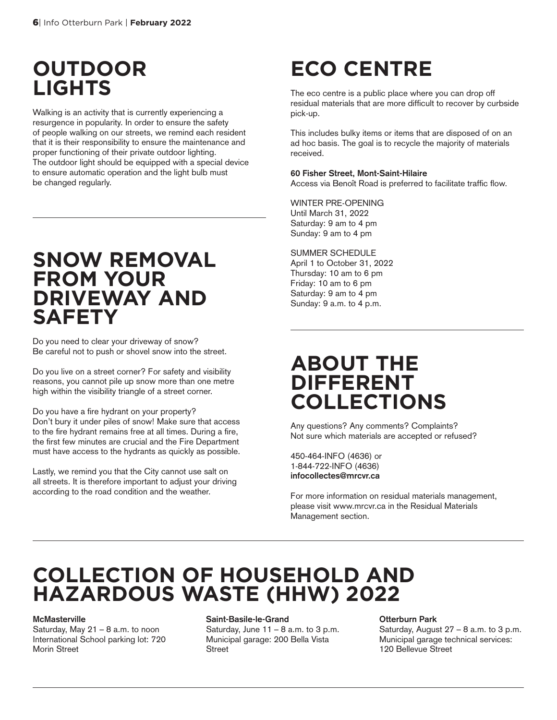### **OUTDOOR LIGHTS**

Walking is an activity that is currently experiencing a resurgence in popularity. In order to ensure the safety of people walking on our streets, we remind each resident that it is their responsibility to ensure the maintenance and proper functioning of their private outdoor lighting. The outdoor light should be equipped with a special device to ensure automatic operation and the light bulb must be changed regularly.

### **SNOW REMOVAL FROM YOUR DRIVEWAY AND SAFETY**

Do you need to clear your driveway of snow? Be careful not to push or shovel snow into the street.

Do you live on a street corner? For safety and visibility reasons, you cannot pile up snow more than one metre high within the visibility triangle of a street corner.

Do you have a fire hydrant on your property? Don't bury it under piles of snow! Make sure that access to the fire hydrant remains free at all times. During a fire, the first few minutes are crucial and the Fire Department must have access to the hydrants as quickly as possible.

Lastly, we remind you that the City cannot use salt on all streets. It is therefore important to adjust your driving according to the road condition and the weather.

# **ECO CENTRE**

The eco centre is a public place where you can drop off residual materials that are more difficult to recover by curbside pick-up.

This includes bulky items or items that are disposed of on an ad hoc basis. The goal is to recycle the majority of materials received.

#### **60 Fisher Street, Mont-Saint-Hilaire**

Access via Benoît Road is preferred to facilitate traffic flow.

WINTER PRE-OPENING Until March 31, 2022 Saturday: 9 am to 4 pm Sunday: 9 am to 4 pm

#### SUMMER SCHEDULE

April 1 to October 31, 2022 Thursday: 10 am to 6 pm Friday: 10 am to 6 pm Saturday: 9 am to 4 pm Sunday: 9 a.m. to 4 p.m.

### **ABOUT THE DIFFERENT COLLECTIONS**

Any questions? Any comments? Complaints? Not sure which materials are accepted or refused?

450-464-INFO (4636) or 1-844-722-INFO (4636) **infocollectes@mrcvr.ca**

For more information on residual materials management, please visit www.mrcvr.ca in the Residual Materials Management section.

### **COLLECTION OF HOUSEHOLD AND HAZARDOUS WASTE (HHW) 2022**

#### **McMasterville**

Saturday, May 21 – 8 a.m. to noon International School parking lot: 720 Morin Street

#### **Saint-Basile-le-Grand**

Saturday, June  $11 - 8$  a.m. to 3 p.m. Municipal garage: 200 Bella Vista **Street** 

#### **Otterburn Park**

Saturday, August  $27 - 8$  a.m. to 3 p.m. Municipal garage technical services: 120 Bellevue Street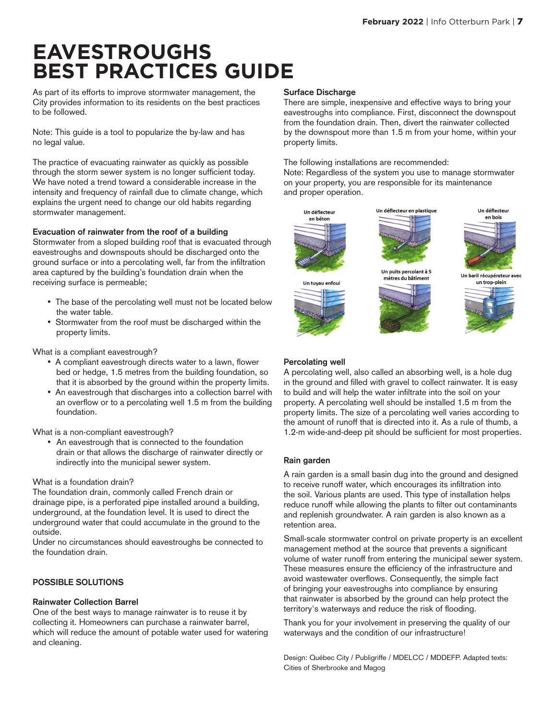### **EAVESTROUGHS BEST PRACTICES GUIDE**

As part of its efforts to improve stormwater management, the City provides information to its residents on the best practices to be followed.

Note: This guide is a tool to popularize the by-law and has no legal value.

The practice of evacuating rainwater as quickly as possible through the storm sewer system is no longer sufficient today. We have noted a trend toward a considerable increase in the intensity and frequency of rainfall due to climate change, which explains the urgent need to change our old habits regarding stormwater management.

#### **Evacuation of rainwater from the roof of a building**

Stormwater from a sloped building roof that is evacuated through eavestroughs and downspouts should be discharged onto the ground surface or into a percolating well, far from the infiltration area captured by the building's foundation drain when the receiving surface is permeable;

- The base of the percolating well must not be located below the water table.
- • Stormwater from the roof must be discharged within the property limits.

What is a compliant eavestrough?

- A compliant eavestrough directs water to a lawn, flower bed or hedge, 1.5 metres from the building foundation, so that it is absorbed by the ground within the property limits.
- An eavestrough that discharges into a collection barrel with an overflow or to a percolating well 1.5 m from the building foundation.

What is a non-compliant eavestrough?

• An eavestrough that is connected to the foundation drain or that allows the discharge of rainwater directly or indirectly into the municipal sewer system.

#### What is a foundation drain?

The foundation drain, commonly called French drain or drainage pipe, is a perforated pipe installed around a building, underground, at the foundation level. It is used to direct the underground water that could accumulate in the ground to the outside.

Under no circumstances should eavestroughs be connected to the foundation drain.

#### **POSSIBLE SOLUTIONS**

#### **Rainwater Collection Barrel**

One of the best ways to manage rainwater is to reuse it by collecting it. Homeowners can purchase a rainwater barrel, which will reduce the amount of potable water used for watering and cleaning.

#### **Surface Discharge**

There are simple, inexpensive and effective ways to bring your eavestroughs into compliance. First, disconnect the downspout from the foundation drain. Then, divert the rainwater collected by the downspout more than 1.5 m from your home, within your property limits.

The following installations are recommended:

Note: Regardless of the system you use to manage stormwater on your property, you are responsible for its maintenance and proper operation.





Un baril récupérateur avec un trop-plein



#### **Percolating well**

A percolating well, also called an absorbing well, is a hole dug in the ground and filled with gravel to collect rainwater. It is easy to build and will help the water infiltrate into the soil on your property. A percolating well should be installed 1.5 m from the property limits. The size of a percolating well varies according to the amount of runoff that is directed into it. As a rule of thumb, a 1.2-m wide-and-deep pit should be sufficient for most properties.

#### **Rain garden**

A rain garden is a small basin dug into the ground and designed to receive runoff water, which encourages its infiltration into the soil. Various plants are used. This type of installation helps reduce runoff while allowing the plants to filter out contaminants and replenish groundwater. A rain garden is also known as a retention area.

Small-scale stormwater control on private property is an excellent management method at the source that prevents a significant volume of water runoff from entering the municipal sewer system. These measures ensure the efficiency of the infrastructure and avoid wastewater overflows. Consequently, the simple fact of bringing your eavestroughs into compliance by ensuring that rainwater is absorbed by the ground can help protect the territory's waterways and reduce the risk of flooding.

Thank you for your involvement in preserving the quality of our waterways and the condition of our infrastructure!

Design: Québec City / Publigriffe / MDELCC / MDDEFP. Adapted texts: Cities of Sherbrooke and Magog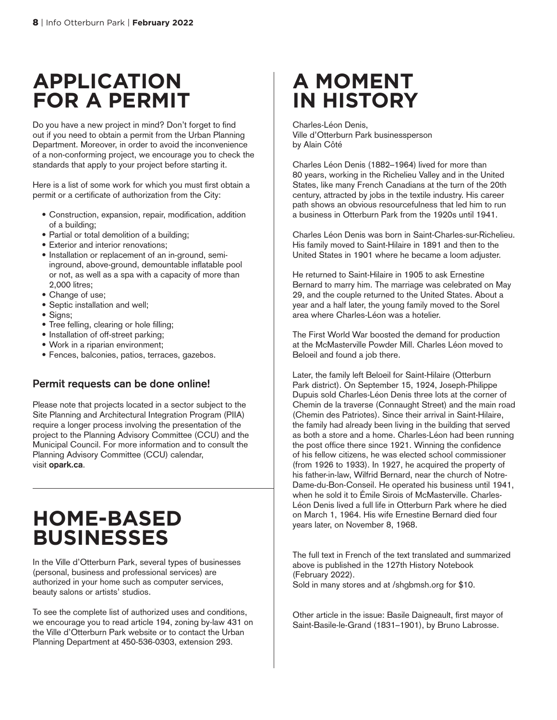### **APPLICATION FOR A PERMIT**

Do you have a new project in mind? Don't forget to find out if you need to obtain a permit from the Urban Planning Department. Moreover, in order to avoid the inconvenience of a non-conforming project, we encourage you to check the standards that apply to your project before starting it.

Here is a list of some work for which you must first obtain a permit or a certificate of authorization from the City:

- Construction, expansion, repair, modification, addition of a building;
- Partial or total demolition of a building;
- Exterior and interior renovations;
- Installation or replacement of an in-ground, semiinground, above-ground, demountable inflatable pool or not, as well as a spa with a capacity of more than 2,000 litres;
- Change of use;
- Septic installation and well;
- Signs;
- Tree felling, clearing or hole filling;
- Installation of off-street parking;
- Work in a riparian environment;
- Fences, balconies, patios, terraces, gazebos.

#### **Permit requests can be done online!**

Please note that projects located in a sector subject to the Site Planning and Architectural Integration Program (PIIA) require a longer process involving the presentation of the project to the Planning Advisory Committee (CCU) and the Municipal Council. For more information and to consult the Planning Advisory Committee (CCU) calendar, visit **opark.ca**.

### **HOME-BASED BUSINESSES**

In the Ville d'Otterburn Park, several types of businesses (personal, business and professional services) are authorized in your home such as computer services, beauty salons or artists' studios.

To see the complete list of authorized uses and conditions, we encourage you to read article 194, zoning by-law 431 on the Ville d'Otterburn Park website or to contact the Urban Planning Department at 450-536-0303, extension 293.

### **A MOMENT IN HISTORY**

Charles-Léon Denis, Ville d'Otterburn Park businessperson by Alain Côté

Charles Léon Denis (1882–1964) lived for more than 80 years, working in the Richelieu Valley and in the United States, like many French Canadians at the turn of the 20th century, attracted by jobs in the textile industry. His career path shows an obvious resourcefulness that led him to run a business in Otterburn Park from the 1920s until 1941.

Charles Léon Denis was born in Saint-Charles-sur-Richelieu. His family moved to Saint-Hilaire in 1891 and then to the United States in 1901 where he became a loom adjuster.

He returned to Saint-Hilaire in 1905 to ask Ernestine Bernard to marry him. The marriage was celebrated on May 29, and the couple returned to the United States. About a year and a half later, the young family moved to the Sorel area where Charles-Léon was a hotelier.

The First World War boosted the demand for production at the McMasterville Powder Mill. Charles Léon moved to Beloeil and found a job there.

Later, the family left Beloeil for Saint-Hilaire (Otterburn Park district). On September 15, 1924, Joseph-Philippe Dupuis sold Charles-Léon Denis three lots at the corner of Chemin de la traverse (Connaught Street) and the main road (Chemin des Patriotes). Since their arrival in Saint-Hilaire, the family had already been living in the building that served as both a store and a home. Charles-Léon had been running the post office there since 1921. Winning the confidence of his fellow citizens, he was elected school commissioner (from 1926 to 1933). In 1927, he acquired the property of his father-in-law, Wilfrid Bernard, near the church of Notre-Dame-du-Bon-Conseil. He operated his business until 1941, when he sold it to Émile Sirois of McMasterville. Charles-Léon Denis lived a full life in Otterburn Park where he died on March 1, 1964. His wife Ernestine Bernard died four years later, on November 8, 1968.

The full text in French of the text translated and summarized above is published in the 127th History Notebook (February 2022). Sold in many stores and at /shgbmsh.org for \$10.

Other article in the issue: Basile Daigneault, first mayor of Saint-Basile-le-Grand (1831–1901), by Bruno Labrosse.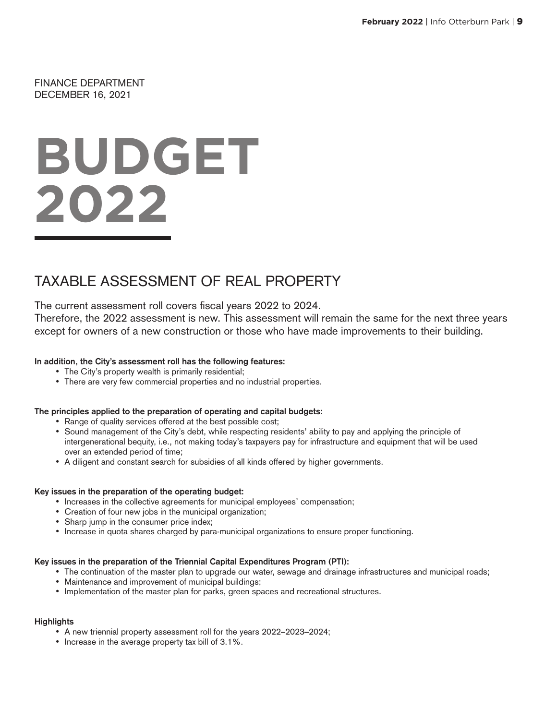FINANCE DEPARTMENT DECEMBER 16, 2021

# **BUDGET 2022**

### TAXABLE ASSESSMENT OF REAL PROPERTY

The current assessment roll covers fiscal years 2022 to 2024.

Therefore, the 2022 assessment is new. This assessment will remain the same for the next three years except for owners of a new construction or those who have made improvements to their building.

#### **In addition, the City's assessment roll has the following features:**

- The City's property wealth is primarily residential;
- There are very few commercial properties and no industrial properties.

#### **The principles applied to the preparation of operating and capital budgets:**

- Range of quality services offered at the best possible cost;
- • Sound management of the City's debt, while respecting residents' ability to pay and applying the principle of intergenerational bequity, i.e., not making today's taxpayers pay for infrastructure and equipment that will be used over an extended period of time;
- • A diligent and constant search for subsidies of all kinds offered by higher governments.

#### **Key issues in the preparation of the operating budget:**

- Increases in the collective agreements for municipal employees' compensation;
- Creation of four new jobs in the municipal organization;
- Sharp jump in the consumer price index;
- • Increase in quota shares charged by para-municipal organizations to ensure proper functioning.

#### **Key issues in the preparation of the Triennial Capital Expenditures Program (PTI):**

- The continuation of the master plan to upgrade our water, sewage and drainage infrastructures and municipal roads;
- Maintenance and improvement of municipal buildings;
- • Implementation of the master plan for parks, green spaces and recreational structures.

#### **Highlights**

- A new triennial property assessment roll for the years 2022–2023–2024;
- Increase in the average property tax bill of 3.1%.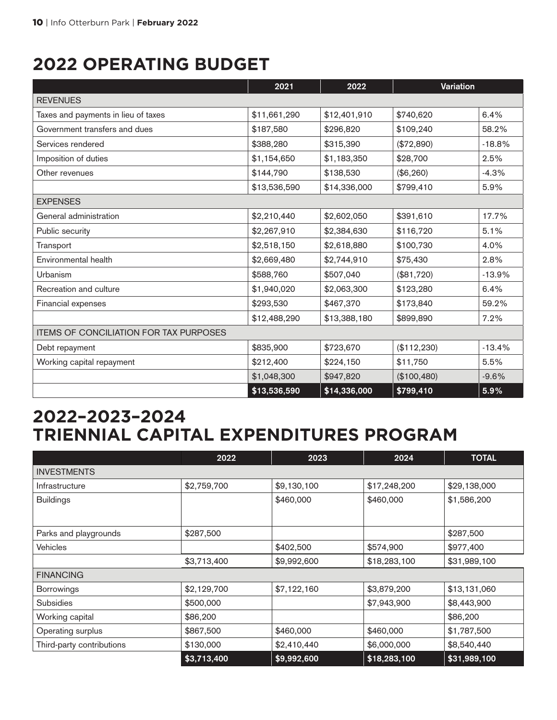### **2022 OPERATING BUDGET**

|                                               | 2021         | 2022         | Variation   |          |
|-----------------------------------------------|--------------|--------------|-------------|----------|
| <b>REVENUES</b>                               |              |              |             |          |
| Taxes and payments in lieu of taxes           | \$11,661,290 | \$12,401,910 | \$740,620   | 6.4%     |
| Government transfers and dues                 | \$187,580    | \$296,820    | \$109,240   | 58.2%    |
| Services rendered                             | \$388,280    | \$315,390    | (\$72,890)  | $-18.8%$ |
| Imposition of duties                          | \$1,154,650  | \$1,183,350  | \$28,700    | 2.5%     |
| Other revenues                                | \$144,790    | \$138,530    | (\$6,260)   | $-4.3%$  |
|                                               | \$13,536,590 | \$14,336,000 | \$799,410   | 5.9%     |
| <b>EXPENSES</b>                               |              |              |             |          |
| General administration                        | \$2,210,440  | \$2,602,050  | \$391,610   | 17.7%    |
| Public security                               | \$2,267,910  | \$2,384,630  | \$116,720   | 5.1%     |
| Transport                                     | \$2,518,150  | \$2,618,880  | \$100,730   | 4.0%     |
| Environmental health                          | \$2,669,480  | \$2,744,910  | \$75,430    | 2.8%     |
| Urbanism                                      | \$588,760    | \$507,040    | (\$81,720)  | $-13.9%$ |
| Recreation and culture                        | \$1,940,020  | \$2,063,300  | \$123,280   | 6.4%     |
| Financial expenses                            | \$293,530    | \$467,370    | \$173,840   | 59.2%    |
|                                               | \$12,488,290 | \$13,388,180 | \$899,890   | 7.2%     |
| <b>ITEMS OF CONCILIATION FOR TAX PURPOSES</b> |              |              |             |          |
| Debt repayment                                | \$835,900    | \$723,670    | (\$112,230) | $-13.4%$ |
| Working capital repayment                     | \$212,400    | \$224,150    | \$11,750    | 5.5%     |
|                                               | \$1,048,300  | \$947,820    | (\$100,480) | $-9.6%$  |
|                                               | \$13,536,590 | \$14,336,000 | \$799,410   | 5.9%     |

### **2022–2023–2024 TRIENNIAL CAPITAL EXPENDITURES PROGRAM**

|                           | 2022        | 2023        | 2024         | <b>TOTAL</b> |
|---------------------------|-------------|-------------|--------------|--------------|
| <b>INVESTMENTS</b>        |             |             |              |              |
| Infrastructure            | \$2,759,700 | \$9,130,100 | \$17,248,200 | \$29,138,000 |
| <b>Buildings</b>          |             | \$460,000   | \$460,000    | \$1,586,200  |
|                           |             |             |              |              |
| Parks and playgrounds     | \$287,500   |             |              | \$287,500    |
| <b>Vehicles</b>           |             | \$402,500   | \$574,900    | \$977,400    |
|                           | \$3,713,400 | \$9,992,600 | \$18,283,100 | \$31,989,100 |
| <b>FINANCING</b>          |             |             |              |              |
| <b>Borrowings</b>         | \$2,129,700 | \$7,122,160 | \$3,879,200  | \$13,131,060 |
| <b>Subsidies</b>          | \$500,000   |             | \$7,943,900  | \$8,443,900  |
| Working capital           | \$86,200    |             |              | \$86,200     |
| Operating surplus         | \$867,500   | \$460,000   | \$460,000    | \$1,787,500  |
| Third-party contributions | \$130,000   | \$2,410,440 | \$6,000,000  | \$8,540,440  |
|                           | \$3,713,400 | \$9,992,600 | \$18,283,100 | \$31,989,100 |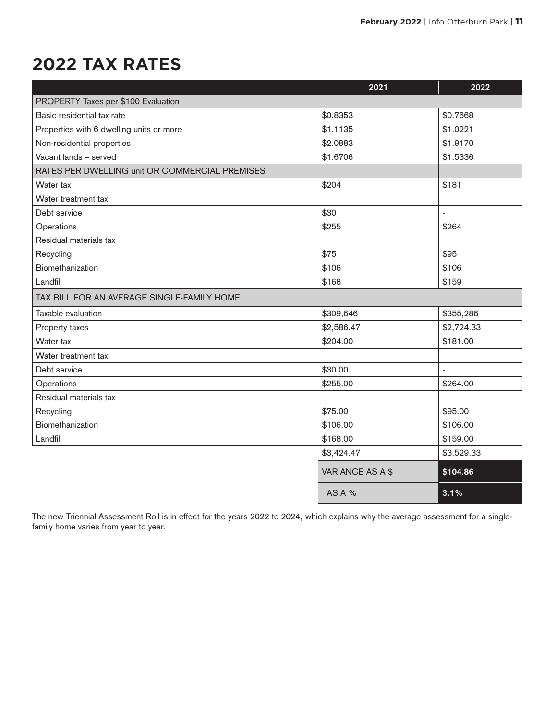### **2022 TAX RATES**

|                                                | 2021             | 2022       |
|------------------------------------------------|------------------|------------|
| PROPERTY Taxes per \$100 Evaluation            |                  |            |
| Basic residential tax rate                     | \$0.8353         | \$0.7668   |
| Properties with 6 dwelling units or more       | \$1.1135         | \$1.0221   |
| Non-residential properties                     | \$2.0883         | \$1.9170   |
| Vacant lands - served                          | \$1.6706         | \$1.5336   |
| RATES PER DWELLING unit OR COMMERCIAL PREMISES |                  |            |
| Water tax                                      | \$204            | \$181      |
| Water treatment tax                            |                  |            |
| Debt service                                   | \$30             |            |
| Operations                                     | \$255            | \$264      |
| Residual materials tax                         |                  |            |
| Recycling                                      | \$75             | \$95       |
| Biomethanization                               | \$106            | \$106      |
| Landfill                                       | \$168            | \$159      |
| TAX BILL FOR AN AVERAGE SINGLE-FAMILY HOME     |                  |            |
| Taxable evaluation                             | \$309,646        | \$355,286  |
| Property taxes                                 | \$2,586.47       | \$2,724.33 |
| Water tax                                      | \$204.00         | \$181.00   |
| Water treatment tax                            |                  |            |
| Debt service                                   | \$30.00          |            |
| Operations                                     | \$255.00         | \$264.00   |
| Residual materials tax                         |                  |            |
| Recycling                                      | \$75.00          | \$95.00    |
| Biomethanization                               | \$106.00         | \$106.00   |
| Landfill                                       | \$168.00         | \$159.00   |
|                                                | \$3,424.47       | \$3,529.33 |
|                                                | VARIANCE AS A \$ | \$104.86   |
|                                                | <b>AS A %</b>    | 3.1%       |

The new Triennial Assessment Roll is in effect for the years 2022 to 2024, which explains why the average assessment for a singlefamily home varies from year to year.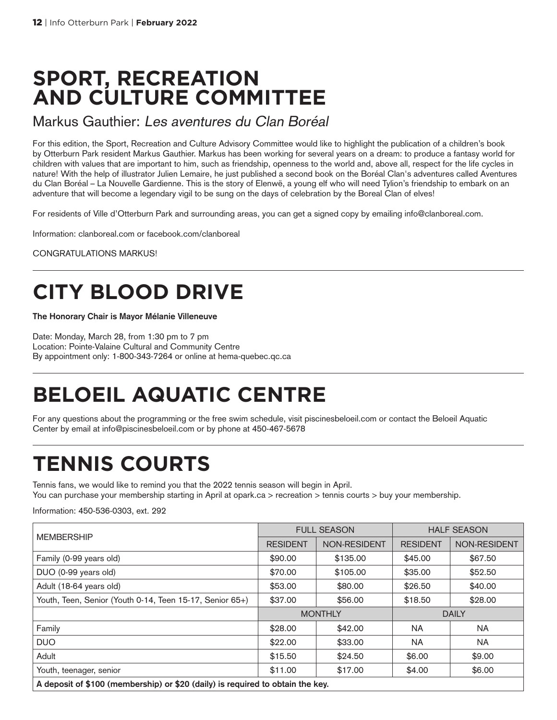### **SPORT, RECREATION AND CULTURE COMMITTEE**

#### Markus Gauthier: Les aventures du Clan Boréal

For this edition, the Sport, Recreation and Culture Advisory Committee would like to highlight the publication of a children's book by Otterburn Park resident Markus Gauthier. Markus has been working for several years on a dream: to produce a fantasy world for children with values that are important to him, such as friendship, openness to the world and, above all, respect for the life cycles in nature! With the help of illustrator Julien Lemaire, he just published a second book on the Boréal Clan's adventures called Aventures du Clan Boréal – La Nouvelle Gardienne. This is the story of Elenwë, a young elf who will need Tylion's friendship to embark on an adventure that will become a legendary vigil to be sung on the days of celebration by the Boreal Clan of elves!

For residents of Ville d'Otterburn Park and surrounding areas, you can get a signed copy by emailing info@clanboreal.com.

Information: clanboreal.com or facebook.com/clanboreal

CONGRATULATIONS MARKUS!

# **CITY BLOOD DRIVE**

#### **The Honorary Chair is Mayor Mélanie Villeneuve**

Date: Monday, March 28, from 1:30 pm to 7 pm Location: Pointe-Valaine Cultural and Community Centre By appointment only: 1-800-343-7264 or online at hema-quebec.qc.ca

# **BELOEIL AQUATIC CENTRE**

For any questions about the programming or the free swim schedule, visit piscinesbeloeil.com or contact the Beloeil Aquatic Center by email at info@piscinesbeloeil.com or by phone at 450-467-5678

# **TENNIS COURTS**

Tennis fans, we would like to remind you that the 2022 tennis season will begin in April. You can purchase your membership starting in April at opark.ca > recreation > tennis courts > buy your membership.

Information: 450-536-0303, ext. 292

|                                                                                | <b>FULL SEASON</b> |              | <b>HALF SEASON</b> |              |
|--------------------------------------------------------------------------------|--------------------|--------------|--------------------|--------------|
| <b>MEMBERSHIP</b>                                                              | <b>RESIDENT</b>    | NON-RESIDENT | <b>RESIDENT</b>    | NON-RESIDENT |
| Family (0-99 years old)                                                        | \$90,00            | \$135.00     | \$45,00            | \$67.50      |
| DUO (0-99 years old)                                                           | \$70.00            | \$105.00     | \$35.00            | \$52.50      |
| Adult (18-64 years old)                                                        | \$53,00            | \$80,00      | \$26.50            | \$40.00      |
| Youth, Teen, Senior (Youth 0-14, Teen 15-17, Senior 65+)                       | \$37.00            | \$56,00      | \$18.50            | \$28.00      |
|                                                                                | <b>MONTHLY</b>     |              | <b>DAILY</b>       |              |
| Family                                                                         | \$28.00            | \$42.00      | <b>NA</b>          | <b>NA</b>    |
| <b>DUO</b>                                                                     | \$22.00            | \$33.00      | NA.                | <b>NA</b>    |
| Adult                                                                          | \$15.50            | \$24.50      | \$6.00             | \$9.00       |
| Youth, teenager, senior                                                        | \$11.00            | \$17.00      | \$4.00             | \$6.00       |
| A deposit of \$100 (membership) or \$20 (daily) is required to obtain the key. |                    |              |                    |              |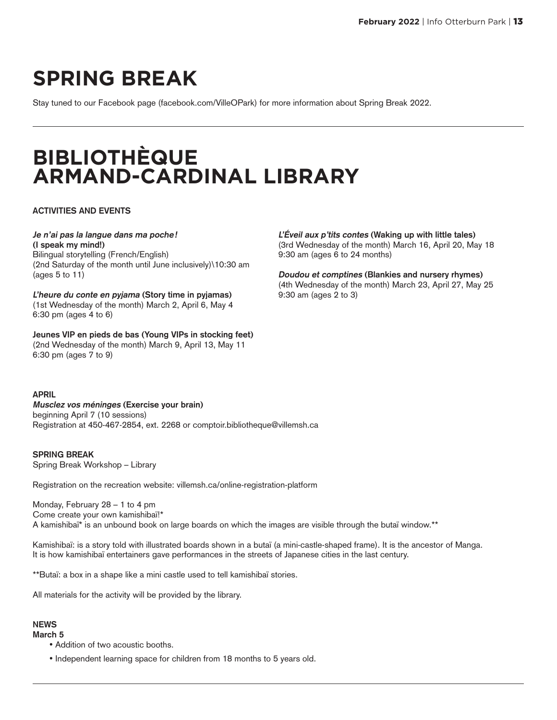# **SPRING BREAK**

Stay tuned to our Facebook page (facebook.com/VilleOPark) for more information about Spring Break 2022.

# **BIBLIOTHÈQUE ARMAND-CARDINAL LIBRARY**

#### **ACTIVITIES AND EVENTS**

#### **Je n'ai pas la langue dans ma poche!**

**(I speak my mind!)** Bilingual storytelling (French/English) (2nd Saturday of the month until June inclusively)\10:30 am (ages 5 to 11)

**L'heure du conte en pyjama (Story time in pyjamas)** (1st Wednesday of the month) March 2, April 6, May 4 6:30 pm (ages 4 to 6)

**Jeunes VIP en pieds de bas (Young VIPs in stocking feet)** (2nd Wednesday of the month) March 9, April 13, May 11 6:30 pm (ages 7 to 9)

#### **APRIL**

**Musclez vos méninges (Exercise your brain)** beginning April 7 (10 sessions) Registration at 450-467-2854, ext. 2268 or comptoir.bibliotheque@villemsh.ca

**SPRING BREAK** Spring Break Workshop – Library

Registration on the recreation website: villemsh.ca/online-registration-platform

Monday, February 28 – 1 to 4 pm Come create your own kamishibaï!\* A kamishibaï\* is an unbound book on large boards on which the images are visible through the butaï window.\*\*

Kamishibaï: is a story told with illustrated boards shown in a butaï (a mini-castle-shaped frame). It is the ancestor of Manga. It is how kamishibaï entertainers gave performances in the streets of Japanese cities in the last century.

\*\*Butaï: a box in a shape like a mini castle used to tell kamishibaï stories.

All materials for the activity will be provided by the library.

#### **NEWS**

**March 5**

- Addition of two acoustic booths.
- Independent learning space for children from 18 months to 5 years old.

**L'Éveil aux p'tits contes (Waking up with little tales)** (3rd Wednesday of the month) March 16, April 20, May 18 9:30 am (ages 6 to 24 months)

**Doudou et comptines (Blankies and nursery rhymes)** (4th Wednesday of the month) March 23, April 27, May 25 9:30 am (ages 2 to 3)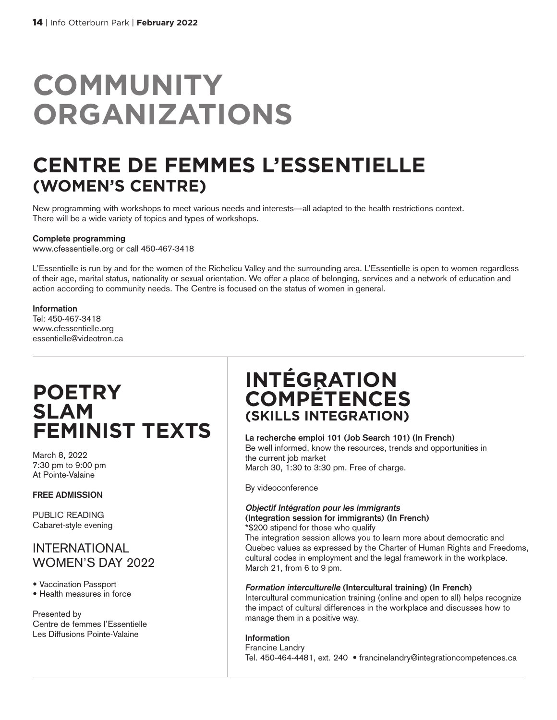# **COMMUNITY ORGANIZATIONS**

### **CENTRE DE FEMMES L'ESSENTIELLE (WOMEN'S CENTRE)**

New programming with workshops to meet various needs and interests—all adapted to the health restrictions context. There will be a wide variety of topics and types of workshops.

#### **Complete programming**

www.cfessentielle.org or call 450-467-3418

L'Essentielle is run by and for the women of the Richelieu Valley and the surrounding area. L'Essentielle is open to women regardless of their age, marital status, nationality or sexual orientation. We offer a place of belonging, services and a network of education and action according to community needs. The Centre is focused on the status of women in general.

#### **Information**

Tel: 450-467-3418 www.cfessentielle.org essentielle@videotron.ca

### **POETRY SLAM FEMINIST TEXTS**

March 8, 2022 7:30 pm to 9:00 pm At Pointe-Valaine

#### **FREE ADMISSION**

PUBLIC READING Cabaret-style evening

#### INTERNATIONAL WOMEN'S DAY 2022

• Vaccination Passport

• Health measures in force

Presented by Centre de femmes l'Essentielle Les Diffusions Pointe-Valaine

### **INTÉGRATION COMPÉTENCES (SKILLS INTEGRATION)**

#### **La recherche emploi 101 (Job Search 101) (In French)**

Be well informed, know the resources, trends and opportunities in the current job market March 30, 1:30 to 3:30 pm. Free of charge.

By videoconference

#### **Objectif Intégration pour les immigrants (Integration session for immigrants) (In French)**

\*\$200 stipend for those who qualify

The integration session allows you to learn more about democratic and Quebec values as expressed by the Charter of Human Rights and Freedoms, cultural codes in employment and the legal framework in the workplace. March 21, from 6 to 9 pm.

#### **Formation interculturelle (Intercultural training) (In French)**

Intercultural communication training (online and open to all) helps recognize the impact of cultural differences in the workplace and discusses how to manage them in a positive way.

**Information** Francine Landry Tel. 450-464-4481, ext. 240 • francinelandry@integrationcompetences.ca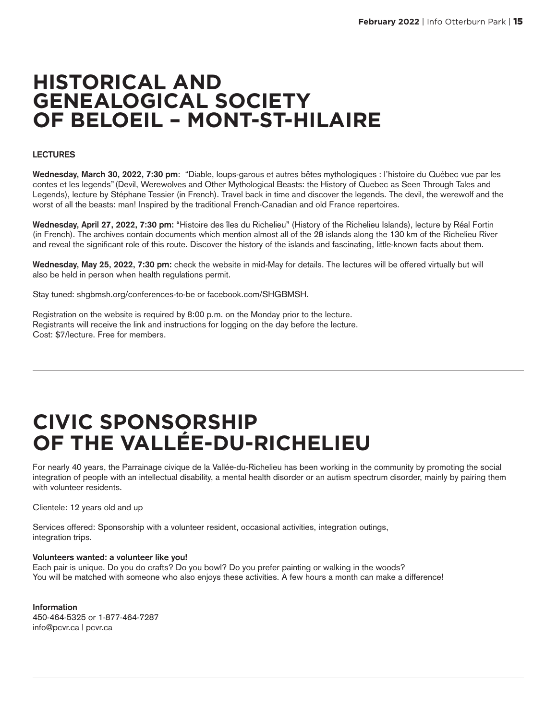### **HISTORICAL AND GENEALOGICAL SOCIETY OF BELOEIL – MONT-ST-HILAIRE**

#### **LECTURES**

**Wednesday, March 30, 2022, 7:30 pm**: "Diable, loups-garous et autres bêtes mythologiques : l'histoire du Québec vue par les contes et les legends"(Devil, Werewolves and Other Mythological Beasts: the History of Quebec as Seen Through Tales and Legends), lecture by Stéphane Tessier (in French). Travel back in time and discover the legends. The devil, the werewolf and the worst of all the beasts: man! Inspired by the traditional French-Canadian and old France repertoires.

**Wednesday, April 27, 2022, 7:30 pm:** "Histoire des îles du Richelieu" (History of the Richelieu Islands), lecture by Réal Fortin (in French). The archives contain documents which mention almost all of the 28 islands along the 130 km of the Richelieu River and reveal the significant role of this route. Discover the history of the islands and fascinating, little-known facts about them.

**Wednesday, May 25, 2022, 7:30 pm:** check the website in mid-May for details. The lectures will be offered virtually but will also be held in person when health regulations permit.

Stay tuned: shgbmsh.org/conferences-to-be or facebook.com/SHGBMSH.

Registration on the website is required by 8:00 p.m. on the Monday prior to the lecture. Registrants will receive the link and instructions for logging on the day before the lecture. Cost: \$7/lecture. Free for members.

### **CIVIC SPONSORSHIP OF THE VALLÉE-DU-RICHELIEU**

For nearly 40 years, the Parrainage civique de la Vallée-du-Richelieu has been working in the community by promoting the social integration of people with an intellectual disability, a mental health disorder or an autism spectrum disorder, mainly by pairing them with volunteer residents.

Clientele: 12 years old and up

Services offered: Sponsorship with a volunteer resident, occasional activities, integration outings, integration trips.

#### **Volunteers wanted: a volunteer like you!**

Each pair is unique. Do you do crafts? Do you bowl? Do you prefer painting or walking in the woods? You will be matched with someone who also enjoys these activities. A few hours a month can make a difference!

**Information** 450-464-5325 or 1-877-464-7287 info@pcvr.ca | pcvr.ca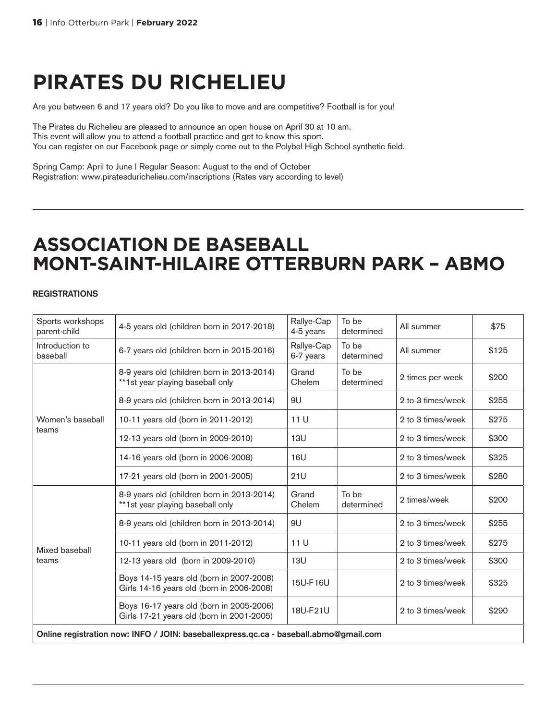## **PIRATES DU RICHELIEU**

Are you between 6 and 17 years old? Do you like to move and are competitive? Football is for you!

The Pirates du Richelieu are pleased to announce an open house on April 30 at 10 am. This event will allow you to attend a football practice and get to know this sport. You can register on our Facebook page or simply come out to the Polybel High School synthetic field.

Spring Camp: April to June | Regular Season: August to the end of October Registration: www.piratesdurichelieu.com/inscriptions (Rates vary according to level)

### **ASSOCIATION DE BASEBALL MONT-SAINT-HILAIRE OTTERBURN PARK – ABMO**

#### **REGISTRATIONS**

| Sports workshops<br>parent-child                                                      | 4-5 years old (children born in 2017-2018)                                            | Rallye-Cap<br>4-5 years | To be<br>determined | All summer        | \$75  |
|---------------------------------------------------------------------------------------|---------------------------------------------------------------------------------------|-------------------------|---------------------|-------------------|-------|
| Introduction to<br>baseball                                                           | 6-7 years old (children born in 2015-2016)                                            | Rallye-Cap<br>6-7 years | To be<br>determined | All summer        | \$125 |
|                                                                                       | 8-9 years old (children born in 2013-2014)<br>**1st year playing baseball only        | Grand<br>Chelem         | To be<br>determined | 2 times per week  | \$200 |
|                                                                                       | 8-9 years old (children born in 2013-2014)                                            | 9U                      |                     | 2 to 3 times/week | \$255 |
| Women's baseball                                                                      | 10-11 years old (born in 2011-2012)                                                   | 11 U                    |                     | 2 to 3 times/week | \$275 |
| teams                                                                                 | 12-13 years old (born in 2009-2010)                                                   | 13U                     |                     | 2 to 3 times/week | \$300 |
|                                                                                       | 14-16 years old (born in 2006-2008)                                                   | 16U                     |                     | 2 to 3 times/week | \$325 |
|                                                                                       | 17-21 years old (born in 2001-2005)                                                   | 21U                     |                     | 2 to 3 times/week | \$280 |
|                                                                                       | 8-9 years old (children born in 2013-2014)<br>**1st year playing baseball only        | Grand<br>Chelem         | To be<br>determined | 2 times/week      | \$200 |
|                                                                                       | 8-9 years old (children born in 2013-2014)                                            | 9U                      |                     | 2 to 3 times/week | \$255 |
| Mixed baseball                                                                        | 10-11 years old (born in 2011-2012)                                                   | 11 U                    |                     | 2 to 3 times/week | \$275 |
| teams                                                                                 | 12-13 years old (born in 2009-2010)                                                   | 13U                     |                     | 2 to 3 times/week | \$300 |
|                                                                                       | Boys 14-15 years old (born in 2007-2008)<br>Girls 14-16 years old (born in 2006-2008) | 15U-F16U                |                     | 2 to 3 times/week | \$325 |
|                                                                                       | Boys 16-17 years old (born in 2005-2006)<br>Girls 17-21 years old (born in 2001-2005) | 18U-F21U                |                     | 2 to 3 times/week | \$290 |
| Online registration now: INFO / JOIN: baseballexpress.qc.ca - baseball.abmo@gmail.com |                                                                                       |                         |                     |                   |       |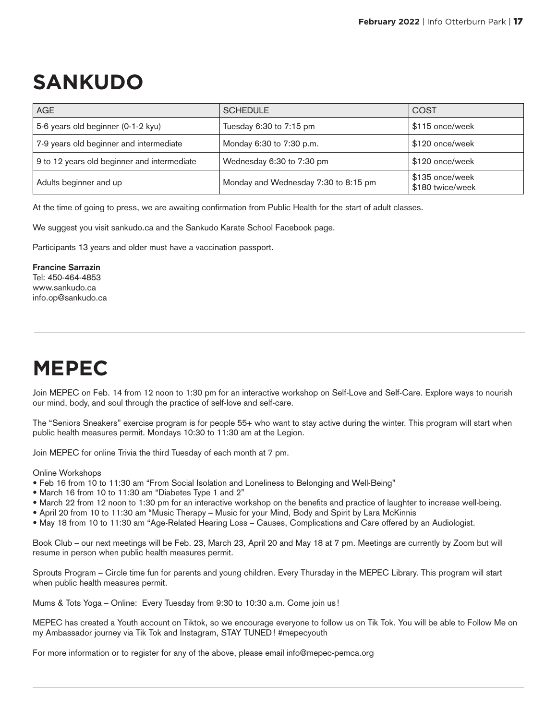# **SANKUDO**

| <b>AGE</b>                                  | <b>SCHEDULE</b>                      | <b>COST</b>                         |
|---------------------------------------------|--------------------------------------|-------------------------------------|
| 5-6 years old beginner (0-1-2 kyu)          | Tuesday 6:30 to 7:15 pm              | \$115 once/week                     |
| 7-9 years old beginner and intermediate     | Monday 6:30 to 7:30 p.m.             | \$120 once/week                     |
| 9 to 12 years old beginner and intermediate | Wednesday 6:30 to 7:30 pm            | \$120 once/week                     |
| Adults beginner and up                      | Monday and Wednesday 7:30 to 8:15 pm | \$135 once/week<br>\$180 twice/week |

At the time of going to press, we are awaiting confirmation from Public Health for the start of adult classes.

We suggest you visit sankudo.ca and the Sankudo Karate School Facebook page.

Participants 13 years and older must have a vaccination passport.

**Francine Sarrazin** Tel: 450-464-4853 www.sankudo.ca info.op@sankudo.ca

# **MEPEC**

Join MEPEC on Feb. 14 from 12 noon to 1:30 pm for an interactive workshop on Self-Love and Self-Care. Explore ways to nourish our mind, body, and soul through the practice of self-love and self-care.

The "Seniors Sneakers" exercise program is for people 55+ who want to stay active during the winter. This program will start when public health measures permit. Mondays 10:30 to 11:30 am at the Legion.

Join MEPEC for online Trivia the third Tuesday of each month at 7 pm.

#### Online Workshops

- Feb 16 from 10 to 11:30 am "From Social Isolation and Loneliness to Belonging and Well-Being"
- March 16 from 10 to 11:30 am "Diabetes Type 1 and 2"
- March 22 from 12 noon to 1:30 pm for an interactive workshop on the benefits and practice of laughter to increase well-being.
- April 20 from 10 to 11:30 am "Music Therapy Music for your Mind, Body and Spirit by Lara McKinnis
- May 18 from 10 to 11:30 am "Age-Related Hearing Loss Causes, Complications and Care offered by an Audiologist.

Book Club – our next meetings will be Feb. 23, March 23, April 20 and May 18 at 7 pm. Meetings are currently by Zoom but will resume in person when public health measures permit.

Sprouts Program – Circle time fun for parents and young children. Every Thursday in the MEPEC Library. This program will start when public health measures permit.

Mums & Tots Yoga – Online: Every Tuesday from 9:30 to 10:30 a.m. Come join us !

MEPEC has created a Youth account on Tiktok, so we encourage everyone to follow us on Tik Tok. You will be able to Follow Me on my Ambassador journey via Tik Tok and Instagram, STAY TUNED! #mepecyouth

For more information or to register for any of the above, please email info@mepec-pemca.org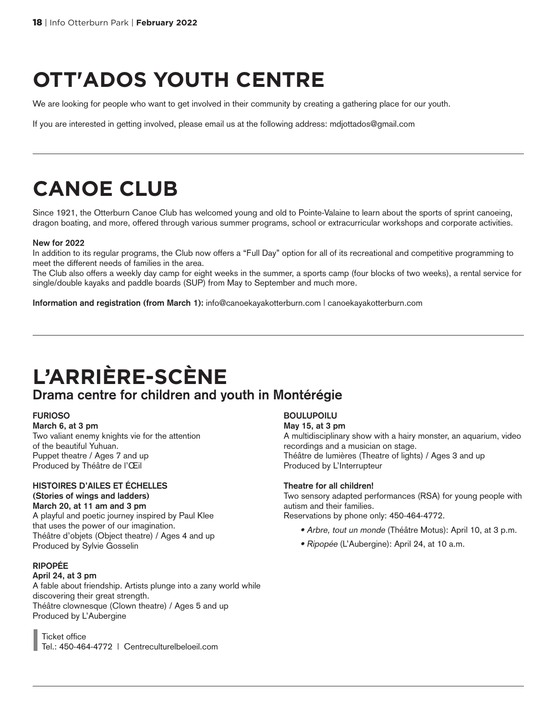# **OTT'ADOS YOUTH CENTRE**

We are looking for people who want to get involved in their community by creating a gathering place for our youth.

If you are interested in getting involved, please email us at the following address: mdjottados@gmail.com

# **CANOE CLUB**

Since 1921, the Otterburn Canoe Club has welcomed young and old to Pointe-Valaine to learn about the sports of sprint canoeing, dragon boating, and more, offered through various summer programs, school or extracurricular workshops and corporate activities.

#### **New for 2022**

In addition to its regular programs, the Club now offers a "Full Day" option for all of its recreational and competitive programming to meet the different needs of families in the area.

The Club also offers a weekly day camp for eight weeks in the summer, a sports camp (four blocks of two weeks), a rental service for single/double kayaks and paddle boards (SUP) from May to September and much more.

**Information and registration (from March 1):** info@canoekayakotterburn.com | canoekayakotterburn.com

### **L'ARRIÈRE-SCÈNE Drama centre for children and youth in Montérégie**

#### **FURIOSO**

**March 6, at 3 pm** Two valiant enemy knights vie for the attention of the beautiful Yuhuan. Puppet theatre / Ages 7 and up Produced by Théâtre de l'Œil

#### **HISTOIRES D'AILES ET ÉCHELLES (Stories of wings and ladders)**

**March 20, at 11 am and 3 pm** A playful and poetic journey inspired by Paul Klee that uses the power of our imagination. Théâtre d'objets (Object theatre) / Ages 4 and up Produced by Sylvie Gosselin

#### **RIPOPÉE**

#### **April 24, at 3 pm**

A fable about friendship. Artists plunge into a zany world while discovering their great strength. Théâtre clownesque (Clown theatre) / Ages 5 and up Produced by L'Aubergine

Ticket office Tel.: 450-464-4772 | Centreculturelbeloeil.com

#### **BOULUPOILU**

**May 15, at 3 pm** A multidisciplinary show with a hairy monster, an aquarium, video recordings and a musician on stage. Théâtre de lumières (Theatre of lights) / Ages 3 and up Produced by L'Interrupteur

#### **Theatre for all children!**

Two sensory adapted performances (RSA) for young people with autism and their families.

Reservations by phone only: 450-464-4772.

- Arbre, tout un monde (Théâtre Motus): April 10, at 3 p.m.
- Ripopée (L'Aubergine): April 24, at 10 a.m.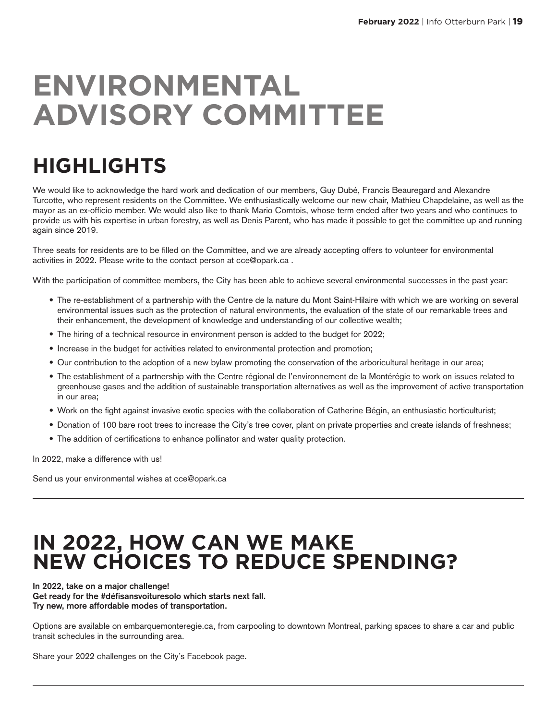# **ENVIRONMENTAL ADVISORY COMMITTEE**

# **HIGHLIGHTS**

We would like to acknowledge the hard work and dedication of our members, Guy Dubé, Francis Beauregard and Alexandre Turcotte, who represent residents on the Committee. We enthusiastically welcome our new chair, Mathieu Chapdelaine, as well as the mayor as an ex-officio member. We would also like to thank Mario Comtois, whose term ended after two years and who continues to provide us with his expertise in urban forestry, as well as Denis Parent, who has made it possible to get the committee up and running again since 2019.

Three seats for residents are to be filled on the Committee, and we are already accepting offers to volunteer for environmental activities in 2022. Please write to the contact person at cce@opark.ca .

With the participation of committee members, the City has been able to achieve several environmental successes in the past year:

- The re-establishment of a partnership with the Centre de la nature du Mont Saint-Hilaire with which we are working on several environmental issues such as the protection of natural environments, the evaluation of the state of our remarkable trees and their enhancement, the development of knowledge and understanding of our collective wealth;
- The hiring of a technical resource in environment person is added to the budget for 2022;
- Increase in the budget for activities related to environmental protection and promotion;
- Our contribution to the adoption of a new bylaw promoting the conservation of the arboricultural heritage in our area;
- The establishment of a partnership with the Centre régional de l'environnement de la Montérégie to work on issues related to greenhouse gases and the addition of sustainable transportation alternatives as well as the improvement of active transportation in our area;
- Work on the fight against invasive exotic species with the collaboration of Catherine Bégin, an enthusiastic horticulturist;
- Donation of 100 bare root trees to increase the City's tree cover, plant on private properties and create islands of freshness;
- The addition of certifications to enhance pollinator and water quality protection.

In 2022, make a difference with us!

Send us your environmental wishes at cce@opark.ca

### **IN 2022, HOW CAN WE MAKE NEW CHOICES TO REDUCE SPENDING?**

**In 2022, take on a major challenge! Get ready for the #défisansvoituresolo which starts next fall. Try new, more affordable modes of transportation.**

Options are available on embarquemonteregie.ca, from carpooling to downtown Montreal, parking spaces to share a car and public transit schedules in the surrounding area.

Share your 2022 challenges on the City's Facebook page.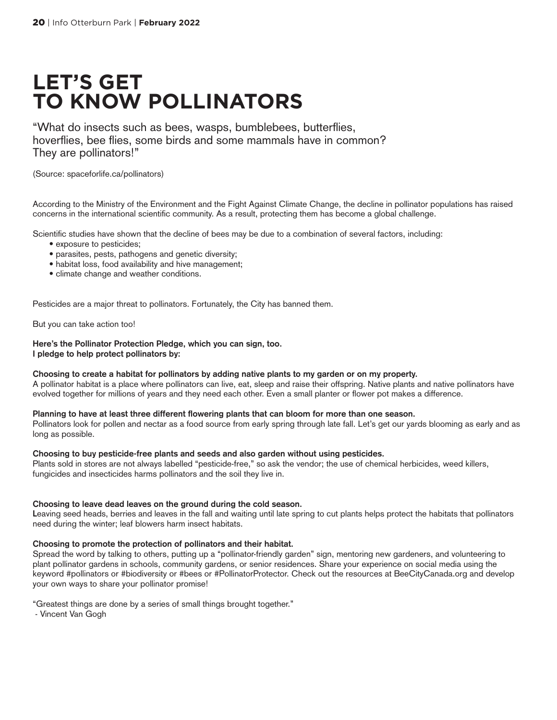### **LET'S GET TO KNOW POLLINATORS**

"What do insects such as bees, wasps, bumblebees, butterflies, hoverflies, bee flies, some birds and some mammals have in common? They are pollinators!"

(Source: spaceforlife.ca/pollinators)

According to the Ministry of the Environment and the Fight Against Climate Change, the decline in pollinator populations has raised concerns in the international scientific community. As a result, protecting them has become a global challenge.

Scientific studies have shown that the decline of bees may be due to a combination of several factors, including:

- exposure to pesticides;
- parasites, pests, pathogens and genetic diversity;
- habitat loss, food availability and hive management;
- climate change and weather conditions.

Pesticides are a major threat to pollinators. Fortunately, the City has banned them.

But you can take action too!

**Here's the Pollinator Protection Pledge, which you can sign, too. I pledge to help protect pollinators by:**

#### **Choosing to create a habitat for pollinators by adding native plants to my garden or on my property.**

A pollinator habitat is a place where pollinators can live, eat, sleep and raise their offspring. Native plants and native pollinators have evolved together for millions of years and they need each other. Even a small planter or flower pot makes a difference.

#### **Planning to have at least three different flowering plants that can bloom for more than one season.**

Pollinators look for pollen and nectar as a food source from early spring through late fall. Let's get our yards blooming as early and as long as possible.

#### **Choosing to buy pesticide-free plants and seeds and also garden without using pesticides.**

Plants sold in stores are not always labelled "pesticide-free," so ask the vendor; the use of chemical herbicides, weed killers, fungicides and insecticides harms pollinators and the soil they live in.

#### **Choosing to leave dead leaves on the ground during the cold season.**

**L**eaving seed heads, berries and leaves in the fall and waiting until late spring to cut plants helps protect the habitats that pollinators need during the winter; leaf blowers harm insect habitats.

#### **Choosing to promote the protection of pollinators and their habitat.**

Spread the word by talking to others, putting up a "pollinator-friendly garden" sign, mentoring new gardeners, and volunteering to plant pollinator gardens in schools, community gardens, or senior residences. Share your experience on social media using the keyword #pollinators or #biodiversity or #bees or #PollinatorProtector. Check out the resources at BeeCityCanada.org and develop your own ways to share your pollinator promise!

"Greatest things are done by a series of small things brought together."

- Vincent Van Gogh